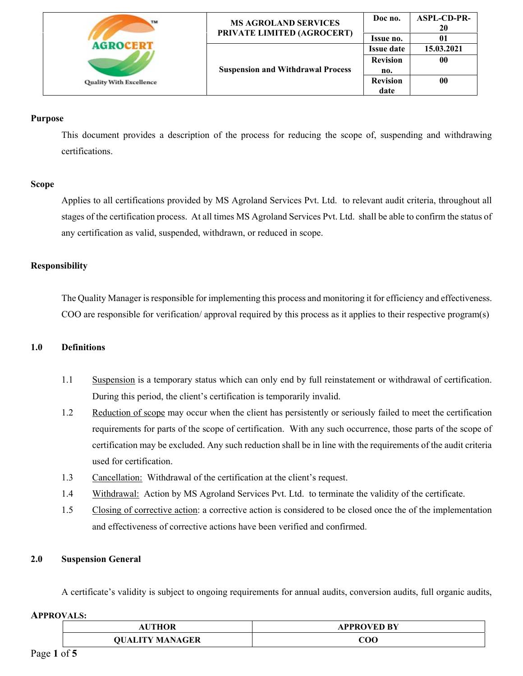| TM                             | <b>MS AGROLAND SERVICES</b><br>PRIVATE LIMITED (AGROCERT) | Doc no.           | <b>ASPL-CD-PR-</b><br>20 |
|--------------------------------|-----------------------------------------------------------|-------------------|--------------------------|
|                                |                                                           | Issue no.         | 01                       |
| <b>Quality With Excellence</b> | <b>Suspension and Withdrawal Process</b>                  | <b>Issue date</b> | 15.03.2021               |
|                                |                                                           | <b>Revision</b>   | 00                       |
|                                |                                                           | no.               |                          |
|                                |                                                           | <b>Revision</b>   | 00                       |
|                                |                                                           | date              |                          |

### **Purpose**

This document provides a description of the process for reducing the scope of, suspending and withdrawing certifications.

### **Scope**

Applies to all certifications provided by MS Agroland Services Pvt. Ltd. to relevant audit criteria, throughout all stages of the certification process. At all times MS Agroland Services Pvt. Ltd. shall be able to confirm the status of any certification as valid, suspended, withdrawn, or reduced in scope.

## **Responsibility**

 The Quality Manager is responsible for implementing this process and monitoring it for efficiency and effectiveness. COO are responsible for verification/ approval required by this process as it applies to their respective program(s)

### **1.0 Definitions**

- 1.1 Suspension is a temporary status which can only end by full reinstatement or withdrawal of certification. During this period, the client's certification is temporarily invalid.
- 1.2 Reduction of scope may occur when the client has persistently or seriously failed to meet the certification requirements for parts of the scope of certification. With any such occurrence, those parts of the scope of certification may be excluded. Any such reduction shall be in line with the requirements of the audit criteria used for certification.
- 1.3 Cancellation: Withdrawal of the certification at the client's request.
- 1.4 Withdrawal: Action by MS Agroland Services Pvt. Ltd. to terminate the validity of the certificate.
- 1.5 Closing of corrective action: a corrective action is considered to be closed once the of the implementation and effectiveness of corrective actions have been verified and confirmed.

### **2.0 Suspension General**

A certificate's validity is subject to ongoing requirements for annual audits, conversion audits, full organic audits,

| <b>THOR</b>            | APPROVED BY |
|------------------------|-------------|
| <b>QUALITY MANAGER</b> | COO         |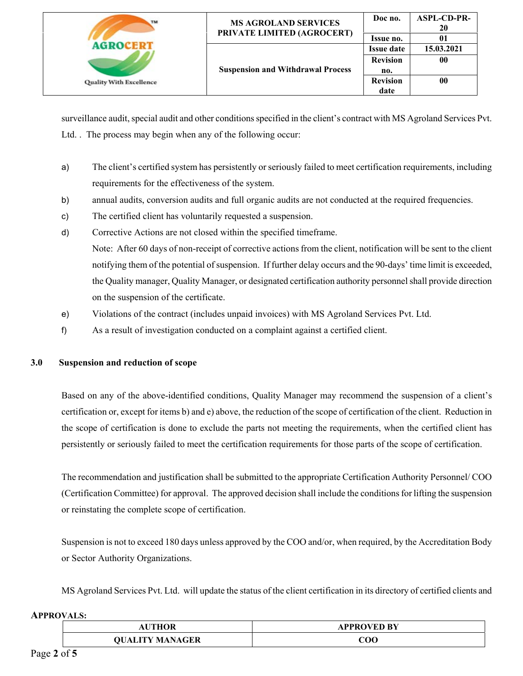| TM                             | <b>MS AGROLAND SERVICES</b><br>PRIVATE LIMITED (AGROCERT) | Doc no.           | <b>ASPL-CD-PR-</b><br>20 |
|--------------------------------|-----------------------------------------------------------|-------------------|--------------------------|
|                                |                                                           | Issue no.         | 01                       |
| <b>Quality With Excellence</b> | <b>Suspension and Withdrawal Process</b>                  | <b>Issue date</b> | 15.03.2021               |
|                                |                                                           | <b>Revision</b>   | 00                       |
|                                |                                                           | no.               |                          |
|                                |                                                           | <b>Revision</b>   | 00                       |
|                                |                                                           | date              |                          |

surveillance audit, special audit and other conditions specified in the client's contract with MS Agroland Services Pvt. Ltd. . The process may begin when any of the following occur:

- a) The client's certified system has persistently or seriously failed to meet certification requirements, including requirements for the effectiveness of the system.
- b) annual audits, conversion audits and full organic audits are not conducted at the required frequencies.
- c) The certified client has voluntarily requested a suspension.
- d) Corrective Actions are not closed within the specified timeframe. Note: After 60 days of non-receipt of corrective actions from the client, notification will be sent to the client notifying them of the potential of suspension. If further delay occurs and the 90-days' time limit is exceeded, the Quality manager, Quality Manager, or designated certification authority personnel shall provide direction on the suspension of the certificate.
- e) Violations of the contract (includes unpaid invoices) with MS Agroland Services Pvt. Ltd.
- f) As a result of investigation conducted on a complaint against a certified client.

### **3.0 Suspension and reduction of scope**

Based on any of the above-identified conditions, Quality Manager may recommend the suspension of a client's certification or, except for items b) and e) above, the reduction of the scope of certification of the client. Reduction in the scope of certification is done to exclude the parts not meeting the requirements, when the certified client has persistently or seriously failed to meet the certification requirements for those parts of the scope of certification.

The recommendation and justification shall be submitted to the appropriate Certification Authority Personnel/ COO (Certification Committee) for approval. The approved decision shall include the conditions for lifting the suspension or reinstating the complete scope of certification.

Suspension is not to exceed 180 days unless approved by the COO and/or, when required, by the Accreditation Body or Sector Authority Organizations.

MS Agroland Services Pvt. Ltd. will update the status of the client certification in its directory of certified clients and

| <b>THOR</b>                        | APPROVED BY |
|------------------------------------|-------------|
| <b>LITY MANAGER</b><br><b>NITC</b> | COO         |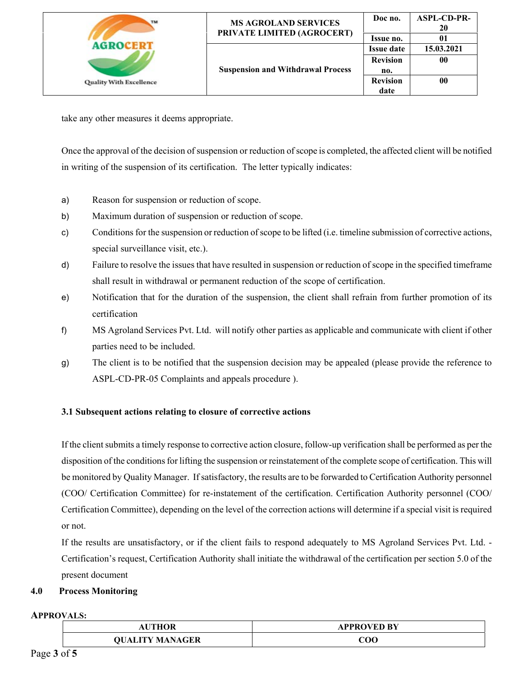| TM                             | <b>MS AGROLAND SERVICES</b><br>PRIVATE LIMITED (AGROCERT) | Doc no.           | <b>ASPL-CD-PR-</b><br>20 |
|--------------------------------|-----------------------------------------------------------|-------------------|--------------------------|
|                                |                                                           | Issue no.         | 01                       |
| <b>Quality With Excellence</b> | <b>Suspension and Withdrawal Process</b>                  | <b>Issue date</b> | 15.03.2021               |
|                                |                                                           | <b>Revision</b>   | 00                       |
|                                |                                                           | no.               |                          |
|                                |                                                           | <b>Revision</b>   | $\bf{00}$                |
|                                |                                                           | date              |                          |

take any other measures it deems appropriate.

Once the approval of the decision of suspension or reduction of scope is completed, the affected client will be notified in writing of the suspension of its certification. The letter typically indicates:

- a) Reason for suspension or reduction of scope.
- b) Maximum duration of suspension or reduction of scope.
- c) Conditions for the suspension or reduction of scope to be lifted (i.e. timeline submission of corrective actions, special surveillance visit, etc.).
- d) Failure to resolve the issues that have resulted in suspension or reduction of scope in the specified timeframe shall result in withdrawal or permanent reduction of the scope of certification.
- e) Notification that for the duration of the suspension, the client shall refrain from further promotion of its certification
- f) MS Agroland Services Pvt. Ltd. will notify other parties as applicable and communicate with client if other parties need to be included.
- g) The client is to be notified that the suspension decision may be appealed (please provide the reference to ASPL-CD-PR-05 Complaints and appeals procedure ).

## **3.1 Subsequent actions relating to closure of corrective actions**

If the client submits a timely response to corrective action closure, follow-up verification shall be performed as per the disposition of the conditions for lifting the suspension or reinstatement of the complete scope of certification. This will be monitored by Quality Manager. If satisfactory, the results are to be forwarded to Certification Authority personnel (COO/ Certification Committee) for re-instatement of the certification. Certification Authority personnel (COO/ Certification Committee), depending on the level of the correction actions will determine if a special visit is required or not.

If the results are unsatisfactory, or if the client fails to respond adequately to MS Agroland Services Pvt. Ltd. - Certification's request, Certification Authority shall initiate the withdrawal of the certification per section 5.0 of the present document

# **4.0 Process Monitoring**

| <b>THOR</b>                            | APPROVED BY |
|----------------------------------------|-------------|
| <b>THAT A STATE</b><br>GER<br>AT.<br>N | 200         |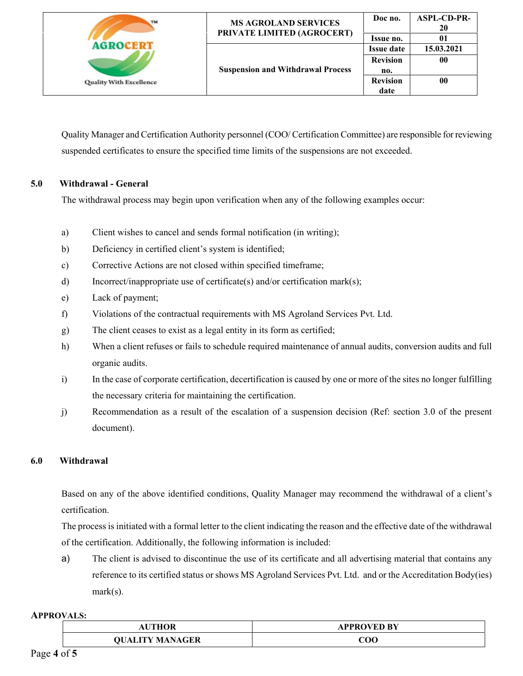| TM                                                | <b>MS AGROLAND SERVICES</b>              | Doc no.           | <b>ASPL-CD-PR-</b><br>20 |
|---------------------------------------------------|------------------------------------------|-------------------|--------------------------|
|                                                   | PRIVATE LIMITED (AGROCERT)               | Issue no.         |                          |
| <b>AGROCEDT</b><br><b>Quality With Excellence</b> | <b>Suspension and Withdrawal Process</b> | <b>Issue date</b> | 15.03.2021               |
|                                                   |                                          | <b>Revision</b>   | 00                       |
|                                                   |                                          | no.               |                          |
|                                                   |                                          | <b>Revision</b>   | 00                       |
|                                                   |                                          | date              |                          |

Quality Manager and Certification Authority personnel (COO/ Certification Committee) are responsible for reviewing suspended certificates to ensure the specified time limits of the suspensions are not exceeded.

## **5.0 Withdrawal - General**

The withdrawal process may begin upon verification when any of the following examples occur:

- a) Client wishes to cancel and sends formal notification (in writing);
- b) Deficiency in certified client's system is identified;
- c) Corrective Actions are not closed within specified timeframe;
- d) Incorrect/inappropriate use of certificate(s) and/or certification mark(s);
- e) Lack of payment;
- f) Violations of the contractual requirements with MS Agroland Services Pvt. Ltd.
- g) The client ceases to exist as a legal entity in its form as certified;
- h) When a client refuses or fails to schedule required maintenance of annual audits, conversion audits and full organic audits.
- i) In the case of corporate certification, decertification is caused by one or more of the sites no longer fulfilling the necessary criteria for maintaining the certification.
- j) Recommendation as a result of the escalation of a suspension decision (Ref: section 3.0 of the present document).

### **6.0 Withdrawal**

Based on any of the above identified conditions, Quality Manager may recommend the withdrawal of a client's certification.

The process is initiated with a formal letter to the client indicating the reason and the effective date of the withdrawal of the certification. Additionally, the following information is included:

a) The client is advised to discontinue the use of its certificate and all advertising material that contains any reference to its certified status or shows MS Agroland Services Pvt. Ltd. and or the Accreditation Body(ies) mark(s).

| UTHOR              | APPROVED BY<br>the company of the company of the company of the company of the company of the company of |
|--------------------|----------------------------------------------------------------------------------------------------------|
| <b>TEV MANAGER</b> | ${\bf COO}$                                                                                              |